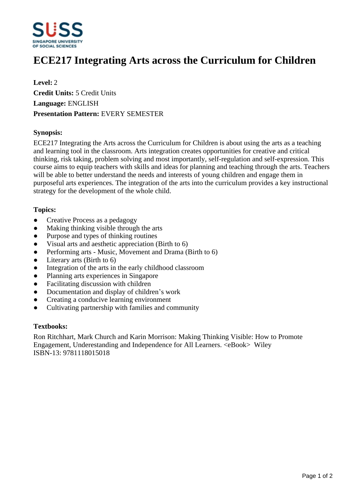

# **ECE217 Integrating Arts across the Curriculum for Children**

**Level:** 2 **Credit Units:** 5 Credit Units **Language:** ENGLISH **Presentation Pattern:** EVERY SEMESTER

## **Synopsis:**

ECE217 Integrating the Arts across the Curriculum for Children is about using the arts as a teaching and learning tool in the classroom. Arts integration creates opportunities for creative and critical thinking, risk taking, problem solving and most importantly, self-regulation and self-expression. This course aims to equip teachers with skills and ideas for planning and teaching through the arts. Teachers will be able to better understand the needs and interests of young children and engage them in purposeful arts experiences. The integration of the arts into the curriculum provides a key instructional strategy for the development of the whole child.

#### **Topics:**

- Creative Process as a pedagogy
- Making thinking visible through the arts
- Purpose and types of thinking routines
- ƔVisual arts and aesthetic appreciation (Birth to 6)
- Performing arts Music, Movement and Drama (Birth to 6)
- $\bullet$  Literary arts (Birth to 6)
- Integration of the arts in the early childhood classroom
- ƔPlanning arts experiences in Singapore
- Facilitating discussion with children
- Documentation and display of children's work
- Creating a conducive learning environment
- ƔCultivating partnership with families and community

#### **Textbooks:**

Ron Ritchhart, Mark Church and Karin Morrison: Making Thinking Visible: How to Promote Engagement, Underestanding and Independence for All Learners. <eBook> Wiley ISBN-13: 9781118015018